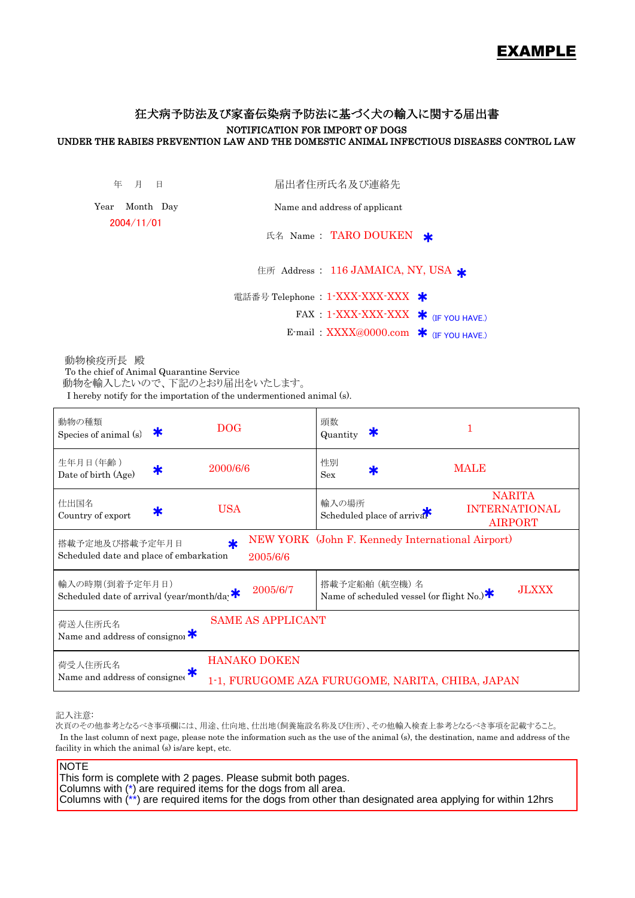# EXAMPLE

# 狂犬病予防法及び家畜伝染病予防法に基づく犬の輸入に関する届出書 NOTIFICATION FOR IMPORT OF DOGS UNDER THE RABIES PREVENTION LAW AND THE DOMESTIC ANIMAL INFECTIOUS DISEASES CONTROL LAW

年 月 日

届出者住所氏名及び連絡先

Year Month Day 2004/11/01

Name and address of applicant

氏名 Name: TARO DOUKEN \*

住所 Address : 116 JAMAICA, NY, USA \*

電話番号 Telephone : 1-XXX-XXX-XXX \*

 $\text{FAX}: 1\text{-XXX-XXX-XXX}$   $\text{\bf{*}}$  (IF YOU HAVE.)

E-mail:  $\overline{XXXX}$ @0000.com  $*$  (IF YOU HAVE.)

 動物検疫所長 殿 To the chief of Animal Quarantine Service 動物を輸入したいので、下記のとおり届出をいたします。

I hereby notify for the importation of the undermentioned animal (s).

| 動物の種類<br>DOG-<br>ж<br>Species of animal (s)                                                                               | 頭数<br>1<br>ж<br>Quantity                                                                       |  |  |  |  |
|---------------------------------------------------------------------------------------------------------------------------|------------------------------------------------------------------------------------------------|--|--|--|--|
| 生年月日(年齢)<br>2000/6/6<br>Ж<br>Date of birth (Age)                                                                          | 性別<br><b>MALE</b><br>Sex                                                                       |  |  |  |  |
| 仕出国名<br><b>USA</b><br>∗<br>Country of export                                                                              | <b>NARITA</b><br>輸入の場所<br><b>INTERNATIONAL</b><br>Scheduled place of arrivar<br><b>AIRPORT</b> |  |  |  |  |
| NEW YORK (John F. Kennedy International Airport)<br>搭載予定地及び搭載予定年月日<br>Scheduled date and place of embarkation<br>2005/6/6 |                                                                                                |  |  |  |  |
| 輸入の時期(到着予定年月日)<br>2005/6/7<br>Scheduled date of arrival (year/month/da;                                                   | 搭載予定船舶 (航空機) 名<br><b>JLXXX</b><br>Name of scheduled vessel (or flight No.) $*$                 |  |  |  |  |
| <b>SAME AS APPLICANT</b><br>荷送人住所氏名<br>Name and address of consignor $*$                                                  |                                                                                                |  |  |  |  |
| <b>HANAKO DOKEN</b><br>荷受人住所氏名<br>Name and address of consignee                                                           | 1-1, FURUGOME AZA FURUGOME, NARITA, CHIBA, JAPAN                                               |  |  |  |  |

記入注意:

次頁のその他参考となるべき事項欄には、用途、仕向地、仕出地(飼養施設名称及び住所)、その他輸入検査上参考となるべき事項を記載すること。 In the last column of next page, please note the information such as the use of the animal (s), the destination, name and address of the facility in which the animal (s) is/are kept, etc.

**NOTE** 

This form is complete with 2 pages. Please submit both pages. Columns with (\*) are required items for the dogs from all area. Columns with (\*\*) are required items for the dogs from other than designated area applying for within 12hrs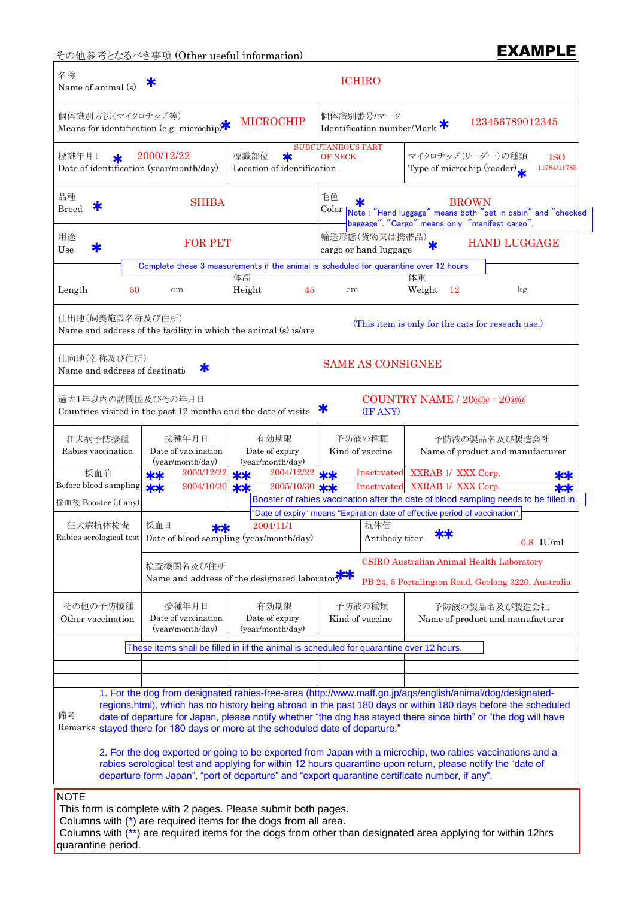その他参考となるべき事項 (Other useful information) **EXAMPLE** 

### 名称 Name of animal (s) 個体識別方法(マイクロチップ等) マンクリス マイコ マイコーク 個体識別番号/マーク Means for identification (e.g. microchip) $\mathbf{\hat{K}}$ 標識年月1 <sub>\*</sub> 2000/12/22 |標識部位 \* OF NECK |マイクロチップ(リーダー)の種類 ISO Date of identification (year/month/day) Location of identification Type of microchip (reader) \* \* 品種 レンジ・コンピュー during and development defends and development defends and development defends and development de<br>アメリカのサイトのサイトのサイトを使われると、その他のサイトを使われると、その他のサイトを使われると、その他のサイトを使われると、その他のサイトを使われると、その他のサイトを使われるようになっています。 Breed T color 用途  $\star$  **h**  $\star$  **h**  $\star$  **h**  $\star$  **h**  $\star$  **h**  $\star$  **h**  $\star$  **h**  $\star$  **h**  $\star$  **h**  $\star$  **h**  $\star$  **h**  $\star$  **h**  $\star$  **h**  $\star$  **h**  $\star$  **h**  $\star$  **h**  $\star$  **h**  $\star$  **h**  $\star$  **h**  $\star$  **h**  $\star$  **h**  $\star$  **h**  $\star$  **h**  $\star$  **h** 田透 Use \* FOR PET the muscle with the muscle of the muscle of the cargo or hand luggage アンストランス はんじょう しょうしょう 体重 しょうしょく 体重 しょうしょく しょうしょく Length 50 cm Height 45 cm Weight 12 kg 仕出地(飼養施設名称及び住所) Name and address of the facility in which the animal (s) is/are 仕向地(名称及び住所) Name and address of destination 過去1年以内の訪問国及びその年月日 Countries visited in the past 12 months and the date of visits  $\frac{2003/12/22}{\text{x}}$   $\frac{\text{y}}{\text{x}}$  2004/12/22  $\frac{\text{y}}{\text{x}}$  Inactivated XXRAB 1/ XXX Corp. **\*\*** Inactivated XXRAB 1/ XXX Corp. 採血日 抗体価 2004/11/1 採血日 ★★ 2004/11/1 http://www.file.com/month/day) Antibody titer ★★ 0.8 IU/ml 検査機関名及び住所 快宜機関名及い住所<br>Name and address of the designated laboratory 備考 Remarks stayed there for 180 days or more at the scheduled date of departure." 有効期限 Date of expiry (year/month/day) 有効期限 | 予防液の種類 1. For the dog from designated rabies-free-area (http://www.maff.go.jp/aqs/english/animal/dog/designatedregions.html), which has no history being abroad in the past 180 days or within 180 days before the scheduled date of departure for Japan, please notify whether "the dog has stayed there since birth" or "the dog will have 2. For the dog exported or going to be exported from Japan with a microchip, two rabies vaccinations and a rabies serological test and applying for within 12 hours quarantine upon return, please notify the "date of departure form Japan", "port of departure" and "export quarantine certificate number, if any". CSIRO Australian Animal Health Laboratory PB 24, 5 Portalington Road, Geelong 3220, Australia Kind of vaccine Name of product and manufacturer その他の予防接種 考<br> 接種年月日 COUNTRY NAME / 20@@ - 20@@ (IF ANY) (This item is only for the cats for reseach use.) SAME AS CONSIGNEE 2003/12/22 2004/10/30 **kk** Inactivated **\*\*** Inactivated SHIBA  $\begin{bmatrix} \overline{a} & \overline{b} & \overline{c} \\ \overline{a} & \overline{b} & \overline{c} \end{bmatrix}$  BROWN HAND LUGGAGE  $\frac{1}{2}$   $\frac{2004}{12/22}$   $\frac{1}{2}$ 2005/10/30 Name of product and manufacturer 狂犬病予防接種 接種年月日 採血前 123456789012345 2000/12/22 SUBCUTANEOUS PART 11784/11785 ICHIRO Rabies serological test 予防液の種類 | 予防液の製品名及び製造会社 Other vaccination Date of vaccination (year/month/day) MICROCHIP 予防液の製品名及び製造会社 Rabies vaccination Date of vaccination (year/month/day) Date of expiry (year/month/day) Kind of vaccine Before blood sampling 採血後 Booster (if any) 狂犬病抗体検査 \* Identification number/Mark Type of microchip (reader)  $\star$   $\star$   $\begin{array}{c} \text{SHIBA} \\ \text{Color}_{\text{Not}} \end{array}$ \* \*  $**$ \*\* Note : "Hand luggage" means both "pet in cabin" and "checked baggage". "Cargo" means only "manifest cargo". **NOTE** This form is complete with 2 pages. Please submit both pages. Columns with (\*) are required items for the dogs from all area. Columns with (\*\*) are required items for the dogs from other than designated area applying for within 12hrs quarantine period. Complete these 3 measurements if the animal is scheduled for quarantine over 12 hours Booster of rabies vaccination after the date of blood sampling needs to be filled in. These items shall be filled in iif the animal is scheduled for quarantine over 12 hours. "Date of expiry" means "Expiration date of effective period of vaccination".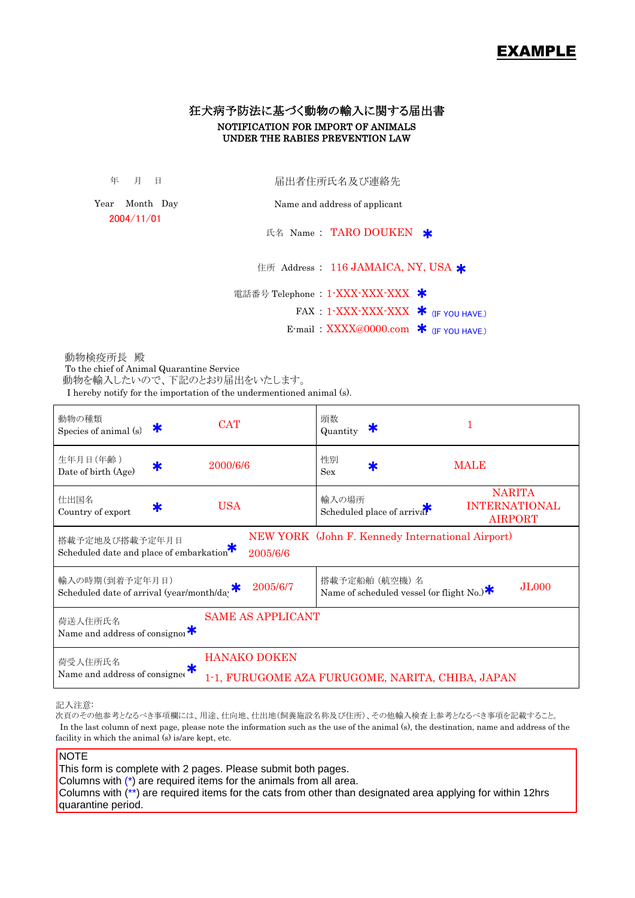# EXAMPLE

## 狂犬病予防法に基づく動物の輸入に関する届出書 NOTIFICATION FOR IMPORT OF ANIMALS UNDER THE RABIES PREVENTION LAW

年 月 日

届出者住所氏名及び連絡先

Year Month Day 2004/11/01

Name and address of applicant

氏名 Name: TARO DOUKEN \*

住所 Address : 116 JAMAICA, NY, USA \*

電話番号 Telephone : 1-XXX-XXX-XXX \*

 $\text{FAX}$  : 1-XXX-XXX-XXX  $\boldsymbol{\ast}$  (IF YOU HAVE.)

E-mail:  $\overline{XXXX}$ @0000.com  $*$  (IF YOU HAVE.)

 動物を輸入したいので、下記のとおり届出をいたします。 動物検疫所長 殿 To the chief of Animal Quarantine Service

I hereby notify for the importation of the undermentioned animal (s).

| 動物の種類<br><b>CAT</b><br>ж<br>Species of animal (s)                                                                                       | 頭数<br>Ж<br>Quantity                                                                            |  |  |  |  |
|-----------------------------------------------------------------------------------------------------------------------------------------|------------------------------------------------------------------------------------------------|--|--|--|--|
| 生年月日(年齢)<br>2000/6/6<br>Date of birth (Age)                                                                                             | 性別<br><b>MALE</b><br><b>Sex</b>                                                                |  |  |  |  |
| 仕出国名<br><b>USA</b><br>Ж<br>Country of export                                                                                            | <b>NARITA</b><br>輸入の場所<br><b>INTERNATIONAL</b><br>Scheduled place of arrival<br><b>AIRPORT</b> |  |  |  |  |
| NEW YORK (John F. Kennedy International Airport)<br>搭載予定地及び搭載予定年月日<br>Scheduled date and place of embarkation <sup>**</sup><br>2005/6/6 |                                                                                                |  |  |  |  |
| 輸入の時期(到着予定年月日)<br>2005/6/7<br>Scheduled date of arrival (year/month/day                                                                 | 搭載予定船舶 (航空機) 名<br><b>JL000</b><br>Name of scheduled vessel (or flight No.) $*$                 |  |  |  |  |
| <b>SAME AS APPLICANT</b><br>荷送人住所氏名<br>Name and address of consignoi $*$                                                                |                                                                                                |  |  |  |  |
| <b>HANAKO DOKEN</b><br>荷受人住所氏名<br>Name and address of consigned                                                                         | 1-1, FURUGOME AZA FURUGOME, NARITA, CHIBA, JAPAN                                               |  |  |  |  |

記入注意:

次頁のその他参考となるべき事項欄には、用途、仕向地、仕出地(飼養施設名称及び住所)、その他輸入検査上参考となるべき事項を記載すること。 In the last column of next page, please note the information such as the use of the animal (s), the destination, name and address of the facility in which the animal (s) is/are kept, etc.

### **NOTE**

This form is complete with 2 pages. Please submit both pages. Columns with (\*) are required items for the animals from all area. Columns with (\*\*) are required items for the cats from other than designated area applying for within 12hrs quarantine period.